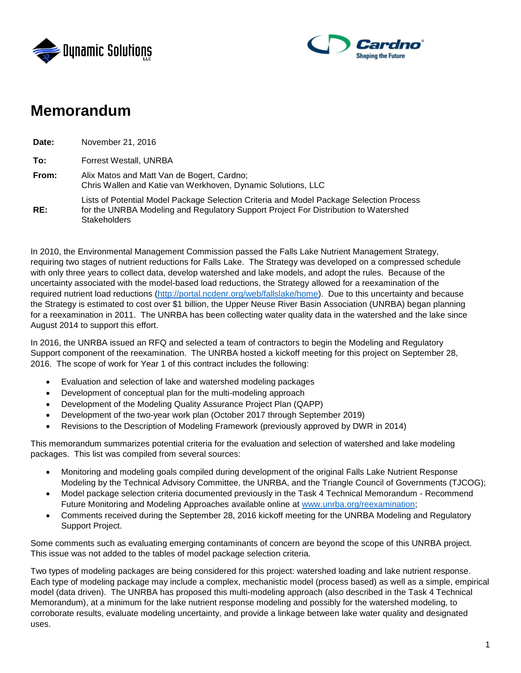



# **Memorandum**

**Date:** November 21, 2016 **To:** Forrest Westall, UNRBA **From:** Alix Matos and Matt Van de Bogert, Cardno; Chris Wallen and Katie van Werkhoven, Dynamic Solutions, LLC **RE:** Lists of Potential Model Package Selection Criteria and Model Package Selection Process for the UNRBA Modeling and Regulatory Support Project For Distribution to Watershed **Stakeholders** 

In 2010, the Environmental Management Commission passed the Falls Lake Nutrient Management Strategy, requiring two stages of nutrient reductions for Falls Lake. The Strategy was developed on a compressed schedule with only three years to collect data, develop watershed and lake models, and adopt the rules. Because of the uncertainty associated with the model-based load reductions, the Strategy allowed for a reexamination of the required nutrient load reductions [\(http://portal.ncdenr.org/web/fallslake/home\)](http://portal.ncdenr.org/web/fallslake/home). Due to this uncertainty and because the Strategy is estimated to cost over \$1 billion, the Upper Neuse River Basin Association (UNRBA) began planning for a reexamination in 2011. The UNRBA has been collecting water quality data in the watershed and the lake since August 2014 to support this effort.

In 2016, the UNRBA issued an RFQ and selected a team of contractors to begin the Modeling and Regulatory Support component of the reexamination. The UNRBA hosted a kickoff meeting for this project on September 28, 2016. The scope of work for Year 1 of this contract includes the following:

- Evaluation and selection of lake and watershed modeling packages
- Development of conceptual plan for the multi-modeling approach
- Development of the Modeling Quality Assurance Project Plan (QAPP)
- Development of the two-year work plan (October 2017 through September 2019)
- Revisions to the Description of Modeling Framework (previously approved by DWR in 2014)

This memorandum summarizes potential criteria for the evaluation and selection of watershed and lake modeling packages. This list was compiled from several sources:

- Monitoring and modeling goals compiled during development of the original Falls Lake Nutrient Response Modeling by the Technical Advisory Committee, the UNRBA, and the Triangle Council of Governments (TJCOG);
- Model package selection criteria documented previously in the Task 4 Technical Memorandum Recommend Future Monitoring and Modeling Approaches available online at [www.unrba.org/reexamination;](http://www.unrba.org/reexamination)
- Comments received during the September 28, 2016 kickoff meeting for the UNRBA Modeling and Regulatory Support Project.

Some comments such as evaluating emerging contaminants of concern are beyond the scope of this UNRBA project. This issue was not added to the tables of model package selection criteria.

Two types of modeling packages are being considered for this project: watershed loading and lake nutrient response. Each type of modeling package may include a complex, mechanistic model (process based) as well as a simple, empirical model (data driven). The UNRBA has proposed this multi-modeling approach (also described in the Task 4 Technical Memorandum), at a minimum for the lake nutrient response modeling and possibly for the watershed modeling, to corroborate results, evaluate modeling uncertainty, and provide a linkage between lake water quality and designated uses.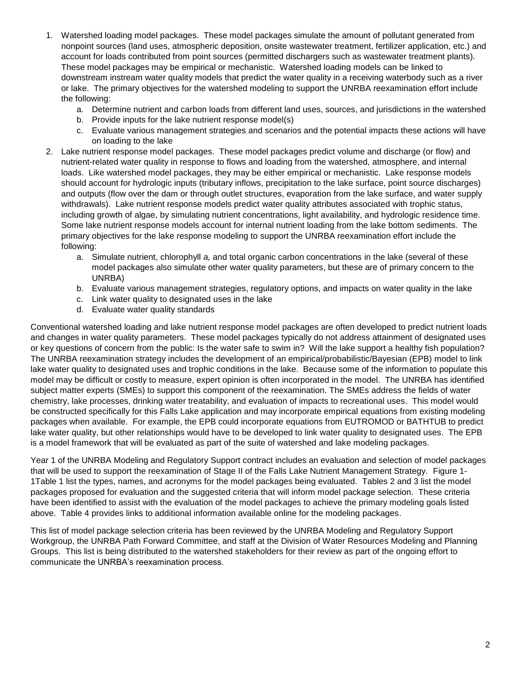- 1. Watershed loading model packages. These model packages simulate the amount of pollutant generated from nonpoint sources (land uses, atmospheric deposition, onsite wastewater treatment, fertilizer application, etc.) and account for loads contributed from point sources (permitted dischargers such as wastewater treatment plants). These model packages may be empirical or mechanistic. Watershed loading models can be linked to downstream instream water quality models that predict the water quality in a receiving waterbody such as a river or lake. The primary objectives for the watershed modeling to support the UNRBA reexamination effort include the following:
	- a. Determine nutrient and carbon loads from different land uses, sources, and jurisdictions in the watershed
	- b. Provide inputs for the lake nutrient response model(s)
	- c. Evaluate various management strategies and scenarios and the potential impacts these actions will have on loading to the lake
- 2. Lake nutrient response model packages. These model packages predict volume and discharge (or flow) and nutrient-related water quality in response to flows and loading from the watershed, atmosphere, and internal loads. Like watershed model packages, they may be either empirical or mechanistic. Lake response models should account for hydrologic inputs (tributary inflows, precipitation to the lake surface, point source discharges) and outputs (flow over the dam or through outlet structures, evaporation from the lake surface, and water supply withdrawals). Lake nutrient response models predict water quality attributes associated with trophic status, including growth of algae, by simulating nutrient concentrations, light availability, and hydrologic residence time. Some lake nutrient response models account for internal nutrient loading from the lake bottom sediments. The primary objectives for the lake response modeling to support the UNRBA reexamination effort include the following:
	- a. Simulate nutrient, chlorophyll *a,* and total organic carbon concentrations in the lake (several of these model packages also simulate other water quality parameters, but these are of primary concern to the UNRBA)
	- b. Evaluate various management strategies, regulatory options, and impacts on water quality in the lake
	- c. Link water quality to designated uses in the lake
	- d. Evaluate water quality standards

Conventional watershed loading and lake nutrient response model packages are often developed to predict nutrient loads and changes in water quality parameters. These model packages typically do not address attainment of designated uses or key questions of concern from the public: Is the water safe to swim in? Will the lake support a healthy fish population? The UNRBA reexamination strategy includes the development of an empirical/probabilistic/Bayesian (EPB) model to link lake water quality to designated uses and trophic conditions in the lake. Because some of the information to populate this model may be difficult or costly to measure, expert opinion is often incorporated in the model. The UNRBA has identified subject matter experts (SMEs) to support this component of the reexamination. The SMEs address the fields of water chemistry, lake processes, drinking water treatability, and evaluation of impacts to recreational uses. This model would be constructed specifically for this Falls Lake application and may incorporate empirical equations from existing modeling packages when available. For example, the EPB could incorporate equations from EUTROMOD or BATHTUB to predict lake water quality, but other relationships would have to be developed to link water quality to designated uses. The EPB is a model framework that will be evaluated as part of the suite of watershed and lake modeling packages.

Year 1 of the UNRBA Modeling and Regulatory Support contract includes an evaluation and selection of model packages that will be used to support the reexamination of Stage II of the Falls Lake Nutrient Management Strategy. [Figure 1-](#page-2-0) [1Table 1](#page-2-0) list the types, names, and acronyms for the model packages being evaluated. Tables 2 and 3 list the model packages proposed for evaluation and the suggested criteria that will inform model package selection. These criteria have been identified to assist with the evaluation of the model packages to achieve the primary modeling goals listed above. Table 4 provides links to additional information available online for the modeling packages.

This list of model package selection criteria has been reviewed by the UNRBA Modeling and Regulatory Support Workgroup, the UNRBA Path Forward Committee, and staff at the Division of Water Resources Modeling and Planning Groups. This list is being distributed to the watershed stakeholders for their review as part of the ongoing effort to communicate the UNRBA's reexamination process.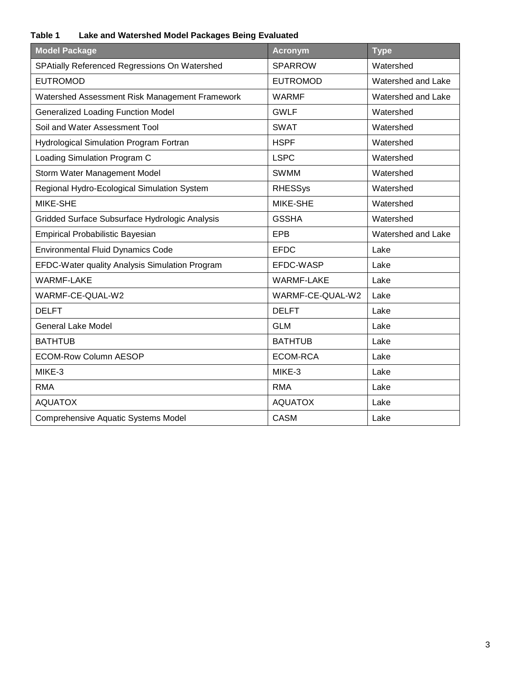## <span id="page-2-0"></span>**Table 1 Lake and Watershed Model Packages Being Evaluated**

| <b>Model Package</b>                           | <b>Acronym</b>    | <b>Type</b>        |
|------------------------------------------------|-------------------|--------------------|
| SPAtially Referenced Regressions On Watershed  | <b>SPARROW</b>    | Watershed          |
| <b>EUTROMOD</b>                                | <b>EUTROMOD</b>   | Watershed and Lake |
| Watershed Assessment Risk Management Framework | <b>WARMF</b>      | Watershed and Lake |
| <b>Generalized Loading Function Model</b>      | <b>GWLF</b>       | Watershed          |
| Soil and Water Assessment Tool                 | <b>SWAT</b>       | Watershed          |
| <b>Hydrological Simulation Program Fortran</b> | <b>HSPF</b>       | Watershed          |
| Loading Simulation Program C                   | <b>LSPC</b>       | Watershed          |
| Storm Water Management Model                   | <b>SWMM</b>       | Watershed          |
| Regional Hydro-Ecological Simulation System    | <b>RHESSys</b>    | Watershed          |
| MIKE-SHE                                       | MIKE-SHE          | Watershed          |
| Gridded Surface Subsurface Hydrologic Analysis | <b>GSSHA</b>      | Watershed          |
| <b>Empirical Probabilistic Bayesian</b>        | <b>EPB</b>        | Watershed and Lake |
| <b>Environmental Fluid Dynamics Code</b>       | <b>EFDC</b>       | Lake               |
| EFDC-Water quality Analysis Simulation Program | EFDC-WASP         | Lake               |
| <b>WARMF-LAKE</b>                              | <b>WARMF-LAKE</b> | Lake               |
| WARMF-CE-QUAL-W2                               | WARMF-CE-QUAL-W2  | Lake               |
| <b>DELFT</b>                                   | <b>DELFT</b>      | Lake               |
| <b>General Lake Model</b>                      | <b>GLM</b>        | Lake               |
| <b>BATHTUB</b>                                 | <b>BATHTUB</b>    | Lake               |
| <b>ECOM-Row Column AESOP</b>                   | <b>ECOM-RCA</b>   | Lake               |
| MIKE-3                                         | MIKE-3            | Lake               |
| <b>RMA</b>                                     | <b>RMA</b>        | Lake               |
| <b>AQUATOX</b>                                 | <b>AQUATOX</b>    | Lake               |
| <b>Comprehensive Aquatic Systems Model</b>     | <b>CASM</b>       | Lake               |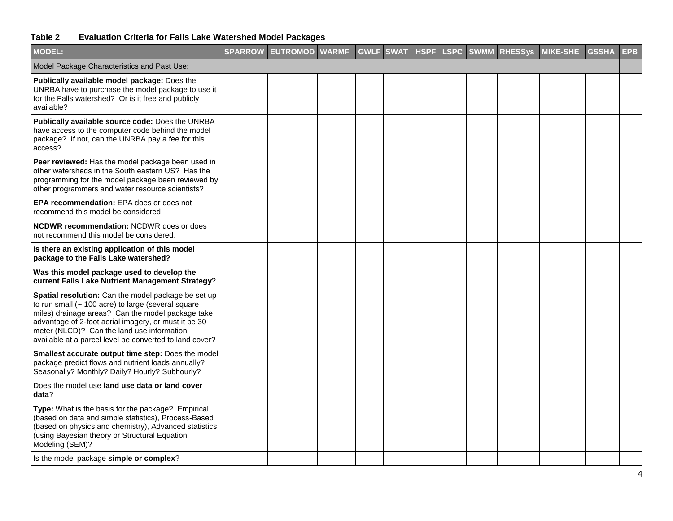## **Table 2 Evaluation Criteria for Falls Lake Watershed Model Packages**

| <b>MODEL:</b>                                                                                                                                                                                                                                                                                                                         | SPARROW EUTROMOD WARMF GWLF SWAT HSPF LSPC SWMM RHESSys MIKE-SHE GSSHA |  |  |  |  | <b>EPB</b> |
|---------------------------------------------------------------------------------------------------------------------------------------------------------------------------------------------------------------------------------------------------------------------------------------------------------------------------------------|------------------------------------------------------------------------|--|--|--|--|------------|
| Model Package Characteristics and Past Use:                                                                                                                                                                                                                                                                                           |                                                                        |  |  |  |  |            |
| Publically available model package: Does the<br>UNRBA have to purchase the model package to use it<br>for the Falls watershed? Or is it free and publicly<br>available?                                                                                                                                                               |                                                                        |  |  |  |  |            |
| Publically available source code: Does the UNRBA<br>have access to the computer code behind the model<br>package? If not, can the UNRBA pay a fee for this<br>access?                                                                                                                                                                 |                                                                        |  |  |  |  |            |
| Peer reviewed: Has the model package been used in<br>other watersheds in the South eastern US? Has the<br>programming for the model package been reviewed by<br>other programmers and water resource scientists?                                                                                                                      |                                                                        |  |  |  |  |            |
| EPA recommendation: EPA does or does not<br>recommend this model be considered.                                                                                                                                                                                                                                                       |                                                                        |  |  |  |  |            |
| <b>NCDWR recommendation: NCDWR does or does</b><br>not recommend this model be considered.                                                                                                                                                                                                                                            |                                                                        |  |  |  |  |            |
| Is there an existing application of this model<br>package to the Falls Lake watershed?                                                                                                                                                                                                                                                |                                                                        |  |  |  |  |            |
| Was this model package used to develop the<br>current Falls Lake Nutrient Management Strategy?                                                                                                                                                                                                                                        |                                                                        |  |  |  |  |            |
| Spatial resolution: Can the model package be set up<br>to run small ( $\sim$ 100 acre) to large (several square<br>miles) drainage areas? Can the model package take<br>advantage of 2-foot aerial imagery, or must it be 30<br>meter (NLCD)? Can the land use information<br>available at a parcel level be converted to land cover? |                                                                        |  |  |  |  |            |
| Smallest accurate output time step: Does the model<br>package predict flows and nutrient loads annually?<br>Seasonally? Monthly? Daily? Hourly? Subhourly?                                                                                                                                                                            |                                                                        |  |  |  |  |            |
| Does the model use land use data or land cover<br>data?                                                                                                                                                                                                                                                                               |                                                                        |  |  |  |  |            |
| Type: What is the basis for the package? Empirical<br>(based on data and simple statistics), Process-Based<br>(based on physics and chemistry), Advanced statistics<br>(using Bayesian theory or Structural Equation<br>Modeling (SEM)?                                                                                               |                                                                        |  |  |  |  |            |
| Is the model package simple or complex?                                                                                                                                                                                                                                                                                               |                                                                        |  |  |  |  |            |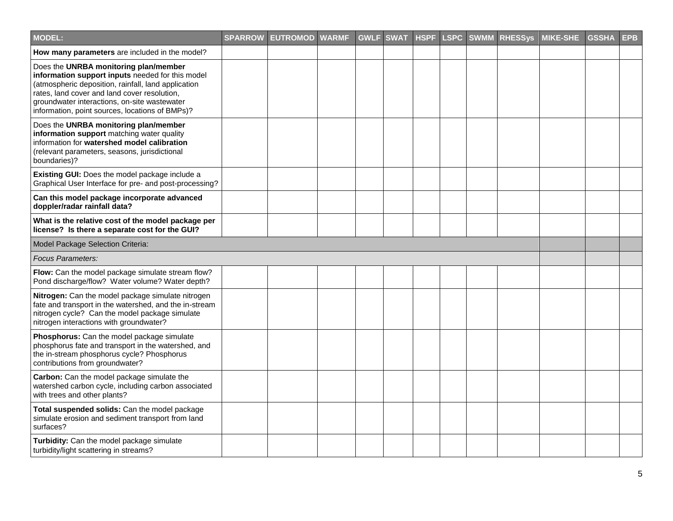| MODEL:                                                                                                                                                                                                                                                                                              | <b>SPARROW EUTROMOD WARMF</b> | <b>GWLF</b> | <b>SWAT</b> | <b>HSPF</b> |  | <b>LSPC SWMM RHESSys</b> | <b>MIKE-SHE</b> | <b>GSSHA</b> | <b>EPB</b> |
|-----------------------------------------------------------------------------------------------------------------------------------------------------------------------------------------------------------------------------------------------------------------------------------------------------|-------------------------------|-------------|-------------|-------------|--|--------------------------|-----------------|--------------|------------|
| How many parameters are included in the model?                                                                                                                                                                                                                                                      |                               |             |             |             |  |                          |                 |              |            |
| Does the UNRBA monitoring plan/member<br>information support inputs needed for this model<br>(atmospheric deposition, rainfall, land application<br>rates, land cover and land cover resolution,<br>groundwater interactions, on-site wastewater<br>information, point sources, locations of BMPs)? |                               |             |             |             |  |                          |                 |              |            |
| Does the UNRBA monitoring plan/member<br>information support matching water quality<br>information for watershed model calibration<br>(relevant parameters, seasons, jurisdictional<br>boundaries)?                                                                                                 |                               |             |             |             |  |                          |                 |              |            |
| Existing GUI: Does the model package include a<br>Graphical User Interface for pre- and post-processing?                                                                                                                                                                                            |                               |             |             |             |  |                          |                 |              |            |
| Can this model package incorporate advanced<br>doppler/radar rainfall data?                                                                                                                                                                                                                         |                               |             |             |             |  |                          |                 |              |            |
| What is the relative cost of the model package per<br>license? Is there a separate cost for the GUI?                                                                                                                                                                                                |                               |             |             |             |  |                          |                 |              |            |
| Model Package Selection Criteria:                                                                                                                                                                                                                                                                   |                               |             |             |             |  |                          |                 |              |            |
| <b>Focus Parameters:</b>                                                                                                                                                                                                                                                                            |                               |             |             |             |  |                          |                 |              |            |
| Flow: Can the model package simulate stream flow?<br>Pond discharge/flow? Water volume? Water depth?                                                                                                                                                                                                |                               |             |             |             |  |                          |                 |              |            |
| Nitrogen: Can the model package simulate nitrogen<br>fate and transport in the watershed, and the in-stream<br>nitrogen cycle? Can the model package simulate<br>nitrogen interactions with groundwater?                                                                                            |                               |             |             |             |  |                          |                 |              |            |
| Phosphorus: Can the model package simulate<br>phosphorus fate and transport in the watershed, and<br>the in-stream phosphorus cycle? Phosphorus<br>contributions from groundwater?                                                                                                                  |                               |             |             |             |  |                          |                 |              |            |
| Carbon: Can the model package simulate the<br>watershed carbon cycle, including carbon associated<br>with trees and other plants?                                                                                                                                                                   |                               |             |             |             |  |                          |                 |              |            |
| Total suspended solids: Can the model package<br>simulate erosion and sediment transport from land<br>surfaces?                                                                                                                                                                                     |                               |             |             |             |  |                          |                 |              |            |
| Turbidity: Can the model package simulate<br>turbidity/light scattering in streams?                                                                                                                                                                                                                 |                               |             |             |             |  |                          |                 |              |            |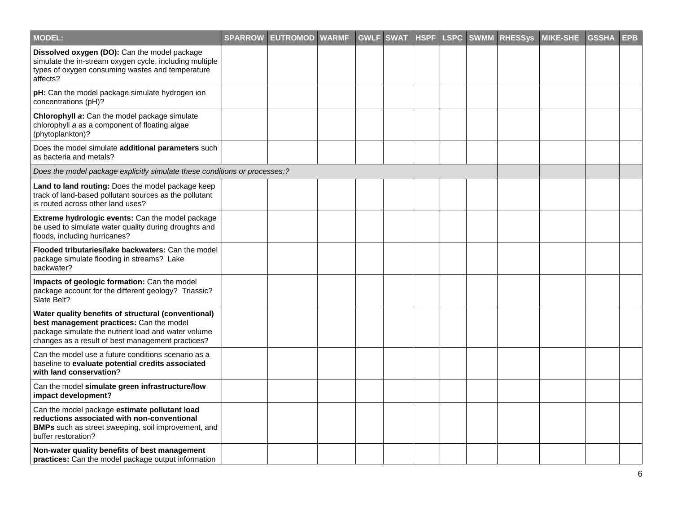| MODEL:                                                                                                                                                                                                      | <b>SPARROW</b> | <b>EUTROMOD</b> | <b>WARMF</b> | <b>GWLF</b> | <b>SWAT</b> | <b>HSPF</b> |  | <b>LSPC SWMM RHESSys</b> | <b>MIKE-SHE</b> | <b>GSSHA</b> | <b>EPB</b> |
|-------------------------------------------------------------------------------------------------------------------------------------------------------------------------------------------------------------|----------------|-----------------|--------------|-------------|-------------|-------------|--|--------------------------|-----------------|--------------|------------|
| Dissolved oxygen (DO): Can the model package<br>simulate the in-stream oxygen cycle, including multiple<br>types of oxygen consuming wastes and temperature<br>affects?                                     |                |                 |              |             |             |             |  |                          |                 |              |            |
| pH: Can the model package simulate hydrogen ion<br>concentrations (pH)?                                                                                                                                     |                |                 |              |             |             |             |  |                          |                 |              |            |
| Chlorophyll a: Can the model package simulate<br>chlorophyll a as a component of floating algae<br>(phytoplankton)?                                                                                         |                |                 |              |             |             |             |  |                          |                 |              |            |
| Does the model simulate additional parameters such<br>as bacteria and metals?                                                                                                                               |                |                 |              |             |             |             |  |                          |                 |              |            |
| Does the model package explicitly simulate these conditions or processes:?                                                                                                                                  |                |                 |              |             |             |             |  |                          |                 |              |            |
| Land to land routing: Does the model package keep<br>track of land-based pollutant sources as the pollutant<br>is routed across other land uses?                                                            |                |                 |              |             |             |             |  |                          |                 |              |            |
| Extreme hydrologic events: Can the model package<br>be used to simulate water quality during droughts and<br>floods, including hurricanes?                                                                  |                |                 |              |             |             |             |  |                          |                 |              |            |
| Flooded tributaries/lake backwaters: Can the model<br>package simulate flooding in streams? Lake<br>backwater?                                                                                              |                |                 |              |             |             |             |  |                          |                 |              |            |
| Impacts of geologic formation: Can the model<br>package account for the different geology? Triassic?<br>Slate Belt?                                                                                         |                |                 |              |             |             |             |  |                          |                 |              |            |
| Water quality benefits of structural (conventional)<br>best management practices: Can the model<br>package simulate the nutrient load and water volume<br>changes as a result of best management practices? |                |                 |              |             |             |             |  |                          |                 |              |            |
| Can the model use a future conditions scenario as a<br>baseline to evaluate potential credits associated<br>with land conservation?                                                                         |                |                 |              |             |             |             |  |                          |                 |              |            |
| Can the model simulate green infrastructure/low<br>impact development?                                                                                                                                      |                |                 |              |             |             |             |  |                          |                 |              |            |
| Can the model package estimate pollutant load<br>reductions associated with non-conventional<br><b>BMPs</b> such as street sweeping, soil improvement, and<br>buffer restoration?                           |                |                 |              |             |             |             |  |                          |                 |              |            |
| Non-water quality benefits of best management<br><b>practices:</b> Can the model package output information                                                                                                 |                |                 |              |             |             |             |  |                          |                 |              |            |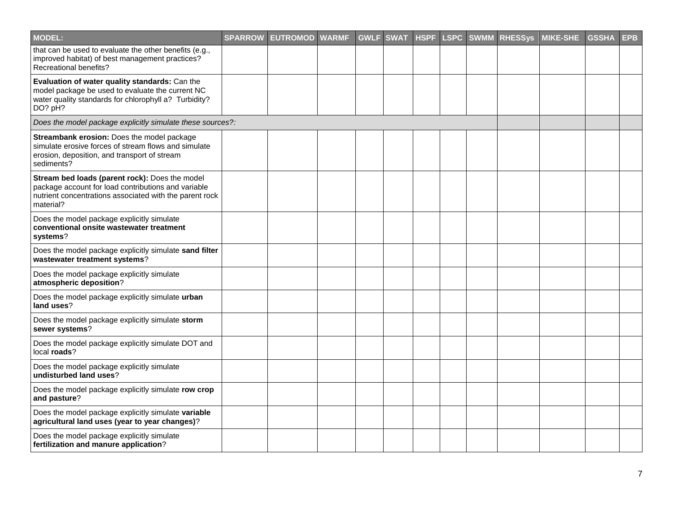| <b>MODEL:</b>                                                                                                                                                                 | SPARROW EUTROMOD WARMF | <b>GWLF</b> | <b>SWAT</b> | <b>HSPF</b> |  | <b>LSPC SWMM RHESSys</b> | <b>MIKE-SHE</b> | <b>GSSHA</b> | <b>EPB</b> |
|-------------------------------------------------------------------------------------------------------------------------------------------------------------------------------|------------------------|-------------|-------------|-------------|--|--------------------------|-----------------|--------------|------------|
| that can be used to evaluate the other benefits (e.g.,<br>improved habitat) of best management practices?<br>Recreational benefits?                                           |                        |             |             |             |  |                          |                 |              |            |
| Evaluation of water quality standards: Can the<br>model package be used to evaluate the current NC<br>water quality standards for chlorophyll a? Turbidity?<br>DO? pH?        |                        |             |             |             |  |                          |                 |              |            |
| Does the model package explicitly simulate these sources?:                                                                                                                    |                        |             |             |             |  |                          |                 |              |            |
| Streambank erosion: Does the model package<br>simulate erosive forces of stream flows and simulate<br>erosion, deposition, and transport of stream<br>sediments?              |                        |             |             |             |  |                          |                 |              |            |
| Stream bed loads (parent rock): Does the model<br>package account for load contributions and variable<br>nutrient concentrations associated with the parent rock<br>material? |                        |             |             |             |  |                          |                 |              |            |
| Does the model package explicitly simulate<br>conventional onsite wastewater treatment<br>systems?                                                                            |                        |             |             |             |  |                          |                 |              |            |
| Does the model package explicitly simulate sand filter<br>wastewater treatment systems?                                                                                       |                        |             |             |             |  |                          |                 |              |            |
| Does the model package explicitly simulate<br>atmospheric deposition?                                                                                                         |                        |             |             |             |  |                          |                 |              |            |
| Does the model package explicitly simulate urban<br>land uses?                                                                                                                |                        |             |             |             |  |                          |                 |              |            |
| Does the model package explicitly simulate storm<br>sewer systems?                                                                                                            |                        |             |             |             |  |                          |                 |              |            |
| Does the model package explicitly simulate DOT and<br>local roads?                                                                                                            |                        |             |             |             |  |                          |                 |              |            |
| Does the model package explicitly simulate<br>undisturbed land uses?                                                                                                          |                        |             |             |             |  |                          |                 |              |            |
| Does the model package explicitly simulate row crop<br>and pasture?                                                                                                           |                        |             |             |             |  |                          |                 |              |            |
| Does the model package explicitly simulate variable<br>agricultural land uses (year to year changes)?                                                                         |                        |             |             |             |  |                          |                 |              |            |
| Does the model package explicitly simulate<br>fertilization and manure application?                                                                                           |                        |             |             |             |  |                          |                 |              |            |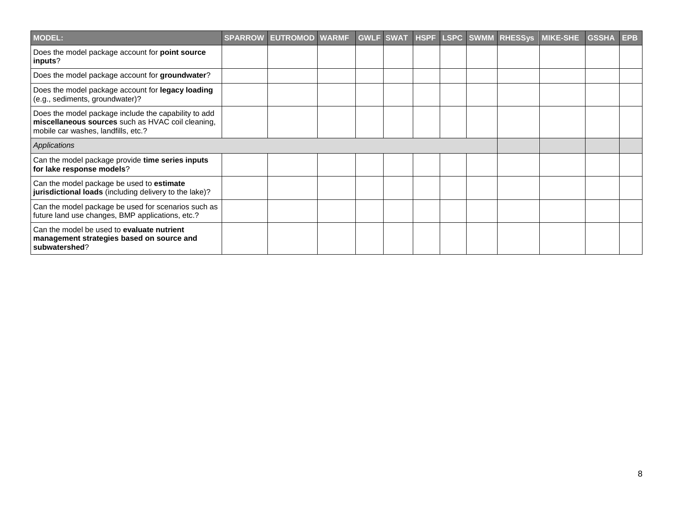| <b>MODEL:</b>                                                                                                                                    | <b>SPARROW</b> | <b>EUTROMOD WARMF</b> |  |  |  | GWLF SWAT HSPF LSPC SWMM RHESSys MIKE-SHE | <b>GSSHA</b> | <b>EPB</b> |
|--------------------------------------------------------------------------------------------------------------------------------------------------|----------------|-----------------------|--|--|--|-------------------------------------------|--------------|------------|
| Does the model package account for point source<br>inputs?                                                                                       |                |                       |  |  |  |                                           |              |            |
| Does the model package account for groundwater?                                                                                                  |                |                       |  |  |  |                                           |              |            |
| Does the model package account for legacy loading<br>(e.g., sediments, groundwater)?                                                             |                |                       |  |  |  |                                           |              |            |
| Does the model package include the capability to add<br>miscellaneous sources such as HVAC coil cleaning,<br>mobile car washes, landfills, etc.? |                |                       |  |  |  |                                           |              |            |
| Applications                                                                                                                                     |                |                       |  |  |  |                                           |              |            |
| Can the model package provide time series inputs<br>for lake response models?                                                                    |                |                       |  |  |  |                                           |              |            |
| Can the model package be used to estimate<br><b>jurisdictional loads</b> (including delivery to the lake)?                                       |                |                       |  |  |  |                                           |              |            |
| Can the model package be used for scenarios such as<br>future land use changes, BMP applications, etc.?                                          |                |                       |  |  |  |                                           |              |            |
| Can the model be used to <b>evaluate nutrient</b><br>management strategies based on source and<br>subwatershed?                                  |                |                       |  |  |  |                                           |              |            |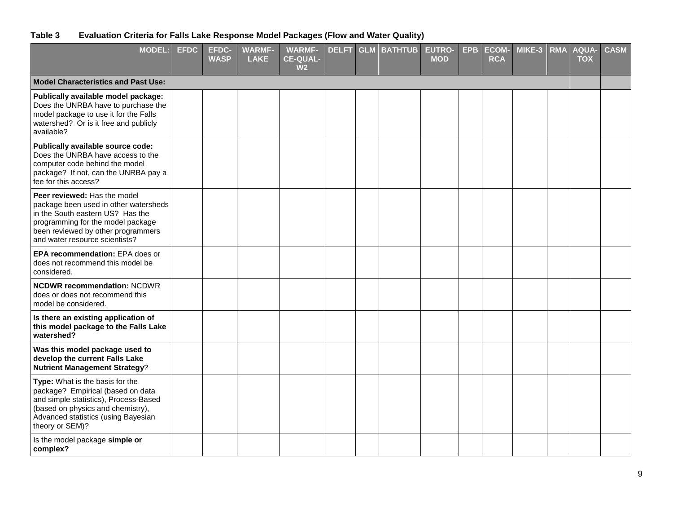### **Table 3 Evaluation Criteria for Falls Lake Response Model Packages (Flow and Water Quality)**

| <b>MODEL:</b>                                                                                                                                                                                                          | <b>EFDC</b> | <b>EFDC-</b><br><b>WASP</b> | <b>WARMF-</b><br><b>LAKE</b> | <b>WARMF-</b><br><b>CE-QUAL-</b><br>W <sub>2</sub> | <b>DELFT</b> | <b>GLM BATHTUB</b> | <b>EUTRO-</b><br><b>MOD</b> | <b>EPB</b> | <b>ECOM-</b><br><b>RCA</b> | MIKE-3 | <b>RMA</b> | <b>AQUA-</b><br><b>TOX</b> | <b>CASM</b> |
|------------------------------------------------------------------------------------------------------------------------------------------------------------------------------------------------------------------------|-------------|-----------------------------|------------------------------|----------------------------------------------------|--------------|--------------------|-----------------------------|------------|----------------------------|--------|------------|----------------------------|-------------|
| <b>Model Characteristics and Past Use:</b>                                                                                                                                                                             |             |                             |                              |                                                    |              |                    |                             |            |                            |        |            |                            |             |
| Publically available model package:<br>Does the UNRBA have to purchase the<br>model package to use it for the Falls<br>watershed? Or is it free and publicly<br>available?                                             |             |                             |                              |                                                    |              |                    |                             |            |                            |        |            |                            |             |
| Publically available source code:<br>Does the UNRBA have access to the<br>computer code behind the model<br>package? If not, can the UNRBA pay a<br>fee for this access?                                               |             |                             |                              |                                                    |              |                    |                             |            |                            |        |            |                            |             |
| Peer reviewed: Has the model<br>package been used in other watersheds<br>in the South eastern US? Has the<br>programming for the model package<br>been reviewed by other programmers<br>and water resource scientists? |             |                             |                              |                                                    |              |                    |                             |            |                            |        |            |                            |             |
| EPA recommendation: EPA does or<br>does not recommend this model be<br>considered.                                                                                                                                     |             |                             |                              |                                                    |              |                    |                             |            |                            |        |            |                            |             |
| <b>NCDWR recommendation: NCDWR</b><br>does or does not recommend this<br>model be considered.                                                                                                                          |             |                             |                              |                                                    |              |                    |                             |            |                            |        |            |                            |             |
| Is there an existing application of<br>this model package to the Falls Lake<br>watershed?                                                                                                                              |             |                             |                              |                                                    |              |                    |                             |            |                            |        |            |                            |             |
| Was this model package used to<br>develop the current Falls Lake<br><b>Nutrient Management Strategy?</b>                                                                                                               |             |                             |                              |                                                    |              |                    |                             |            |                            |        |            |                            |             |
| Type: What is the basis for the<br>package? Empirical (based on data<br>and simple statistics), Process-Based<br>(based on physics and chemistry),<br>Advanced statistics (using Bayesian<br>theory or SEM)?           |             |                             |                              |                                                    |              |                    |                             |            |                            |        |            |                            |             |
| Is the model package simple or<br>complex?                                                                                                                                                                             |             |                             |                              |                                                    |              |                    |                             |            |                            |        |            |                            |             |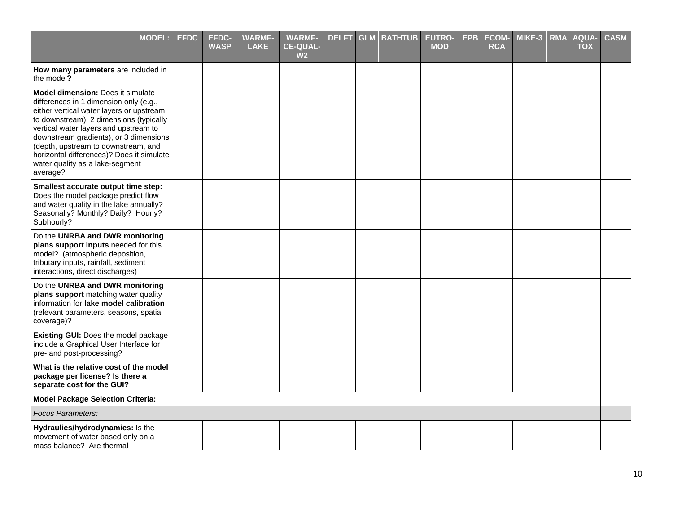| <b>MODEL:</b>                                                                                                                                                                                                                                                                                                                                                                            | <b>EFDC</b> | <b>EFDC-</b><br><b>WASP</b> | <b>WARMF-</b><br><b>LAKE</b> | <b>WARMF-</b><br><b>CE-QUAL-</b><br>W <sub>2</sub> | <b>DELFT</b> | <b>GLM BATHTUB</b> | <b>EUTRO-</b><br><b>MOD</b> | <b>EPB</b> | <b>ECOM-</b><br><b>RCA</b> | MIKE-3 | <b>RMA</b> | <b>AQUA-</b><br><b>TOX</b> | <b>CASM</b> |
|------------------------------------------------------------------------------------------------------------------------------------------------------------------------------------------------------------------------------------------------------------------------------------------------------------------------------------------------------------------------------------------|-------------|-----------------------------|------------------------------|----------------------------------------------------|--------------|--------------------|-----------------------------|------------|----------------------------|--------|------------|----------------------------|-------------|
| How many parameters are included in<br>the model?                                                                                                                                                                                                                                                                                                                                        |             |                             |                              |                                                    |              |                    |                             |            |                            |        |            |                            |             |
| Model dimension: Does it simulate<br>differences in 1 dimension only (e.g.,<br>either vertical water layers or upstream<br>to downstream), 2 dimensions (typically<br>vertical water layers and upstream to<br>downstream gradients), or 3 dimensions<br>(depth, upstream to downstream, and<br>horizontal differences)? Does it simulate<br>water quality as a lake-segment<br>average? |             |                             |                              |                                                    |              |                    |                             |            |                            |        |            |                            |             |
| Smallest accurate output time step:<br>Does the model package predict flow<br>and water quality in the lake annually?<br>Seasonally? Monthly? Daily? Hourly?<br>Subhourly?                                                                                                                                                                                                               |             |                             |                              |                                                    |              |                    |                             |            |                            |        |            |                            |             |
| Do the UNRBA and DWR monitoring<br>plans support inputs needed for this<br>model? (atmospheric deposition,<br>tributary inputs, rainfall, sediment<br>interactions, direct discharges)                                                                                                                                                                                                   |             |                             |                              |                                                    |              |                    |                             |            |                            |        |            |                            |             |
| Do the UNRBA and DWR monitoring<br>plans support matching water quality<br>information for lake model calibration<br>(relevant parameters, seasons, spatial<br>coverage)?                                                                                                                                                                                                                |             |                             |                              |                                                    |              |                    |                             |            |                            |        |            |                            |             |
| Existing GUI: Does the model package<br>include a Graphical User Interface for<br>pre- and post-processing?                                                                                                                                                                                                                                                                              |             |                             |                              |                                                    |              |                    |                             |            |                            |        |            |                            |             |
| What is the relative cost of the model<br>package per license? Is there a<br>separate cost for the GUI?                                                                                                                                                                                                                                                                                  |             |                             |                              |                                                    |              |                    |                             |            |                            |        |            |                            |             |
| <b>Model Package Selection Criteria:</b>                                                                                                                                                                                                                                                                                                                                                 |             |                             |                              |                                                    |              |                    |                             |            |                            |        |            |                            |             |
| <b>Focus Parameters:</b>                                                                                                                                                                                                                                                                                                                                                                 |             |                             |                              |                                                    |              |                    |                             |            |                            |        |            |                            |             |
| Hydraulics/hydrodynamics: Is the<br>movement of water based only on a<br>mass balance? Are thermal                                                                                                                                                                                                                                                                                       |             |                             |                              |                                                    |              |                    |                             |            |                            |        |            |                            |             |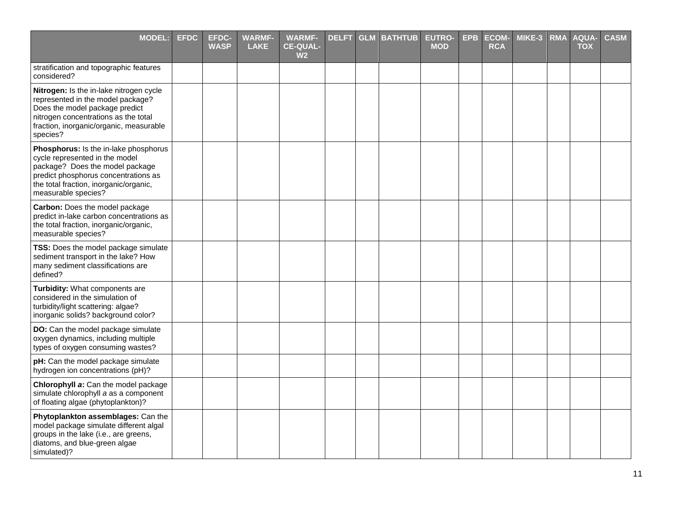| <b>MODEL:</b>                                                                                                                                                                                                       | <b>EFDC</b> | <b>EFDC-</b><br><b>WASP</b> | <b>WARMF-</b><br><b>LAKE</b> | <b>WARMF-</b><br><b>CE-QUAL-</b><br>W <sub>2</sub> | <b>DELFT</b> | <b>GLM BATHTUB</b> | <b>EUTRO-</b><br><b>MOD</b> | <b>EPB</b> | <b>ECOM-</b><br><b>RCA</b> | MIKE-3 | <b>RMA</b> | <b>AQUA-</b><br><b>TOX</b> | <b>CASM</b> |
|---------------------------------------------------------------------------------------------------------------------------------------------------------------------------------------------------------------------|-------------|-----------------------------|------------------------------|----------------------------------------------------|--------------|--------------------|-----------------------------|------------|----------------------------|--------|------------|----------------------------|-------------|
| stratification and topographic features<br>considered?                                                                                                                                                              |             |                             |                              |                                                    |              |                    |                             |            |                            |        |            |                            |             |
| Nitrogen: Is the in-lake nitrogen cycle<br>represented in the model package?<br>Does the model package predict<br>nitrogen concentrations as the total<br>fraction, inorganic/organic, measurable<br>species?       |             |                             |                              |                                                    |              |                    |                             |            |                            |        |            |                            |             |
| Phosphorus: Is the in-lake phosphorus<br>cycle represented in the model<br>package? Does the model package<br>predict phosphorus concentrations as<br>the total fraction, inorganic/organic,<br>measurable species? |             |                             |                              |                                                    |              |                    |                             |            |                            |        |            |                            |             |
| Carbon: Does the model package<br>predict in-lake carbon concentrations as<br>the total fraction, inorganic/organic,<br>measurable species?                                                                         |             |                             |                              |                                                    |              |                    |                             |            |                            |        |            |                            |             |
| TSS: Does the model package simulate<br>sediment transport in the lake? How<br>many sediment classifications are<br>defined?                                                                                        |             |                             |                              |                                                    |              |                    |                             |            |                            |        |            |                            |             |
| Turbidity: What components are<br>considered in the simulation of<br>turbidity/light scattering: algae?<br>inorganic solids? background color?                                                                      |             |                             |                              |                                                    |              |                    |                             |            |                            |        |            |                            |             |
| DO: Can the model package simulate<br>oxygen dynamics, including multiple<br>types of oxygen consuming wastes?                                                                                                      |             |                             |                              |                                                    |              |                    |                             |            |                            |        |            |                            |             |
| pH: Can the model package simulate<br>hydrogen ion concentrations (pH)?                                                                                                                                             |             |                             |                              |                                                    |              |                    |                             |            |                            |        |            |                            |             |
| Chlorophyll a: Can the model package<br>simulate chlorophyll a as a component<br>of floating algae (phytoplankton)?                                                                                                 |             |                             |                              |                                                    |              |                    |                             |            |                            |        |            |                            |             |
| Phytoplankton assemblages: Can the<br>model package simulate different algal<br>groups in the lake (i.e., are greens,<br>diatoms, and blue-green algae<br>simulated)?                                               |             |                             |                              |                                                    |              |                    |                             |            |                            |        |            |                            |             |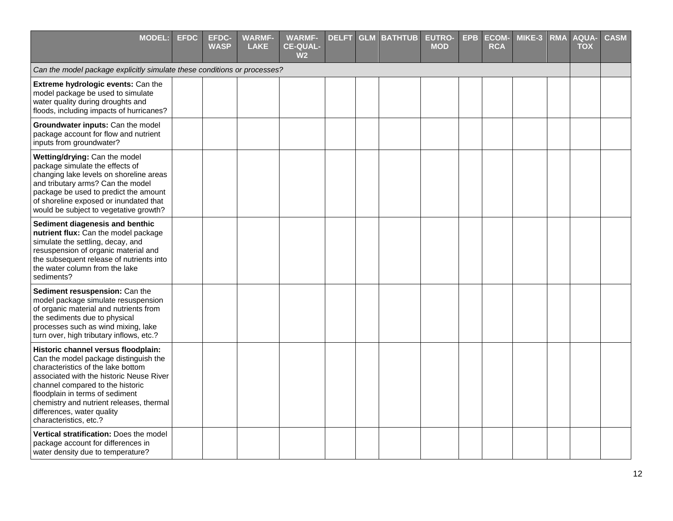| <b>MODEL:</b>                                                                                                                                                                                                                                                                                                                             | <b>EFDC</b> | <b>EFDC-</b><br><b>WASP</b> | <b>WARMF-</b><br><b>LAKE</b> | <b>WARMF-</b><br><b>CE-QUAL-</b><br>W <sub>2</sub> | <b>DELFT</b> | <b>GLM BATHTUB</b> | <b>EUTRO-</b><br><b>MOD</b> | <b>EPB</b> | <b>ECOM-</b><br><b>RCA</b> | MIKE-3 | <b>RMA</b> | <b>AQUA-</b><br><b>TOX</b> | <b>CASM</b> |
|-------------------------------------------------------------------------------------------------------------------------------------------------------------------------------------------------------------------------------------------------------------------------------------------------------------------------------------------|-------------|-----------------------------|------------------------------|----------------------------------------------------|--------------|--------------------|-----------------------------|------------|----------------------------|--------|------------|----------------------------|-------------|
| Can the model package explicitly simulate these conditions or processes?                                                                                                                                                                                                                                                                  |             |                             |                              |                                                    |              |                    |                             |            |                            |        |            |                            |             |
| Extreme hydrologic events: Can the<br>model package be used to simulate<br>water quality during droughts and<br>floods, including impacts of hurricanes?                                                                                                                                                                                  |             |                             |                              |                                                    |              |                    |                             |            |                            |        |            |                            |             |
| Groundwater inputs: Can the model<br>package account for flow and nutrient<br>inputs from groundwater?                                                                                                                                                                                                                                    |             |                             |                              |                                                    |              |                    |                             |            |                            |        |            |                            |             |
| Wetting/drying: Can the model<br>package simulate the effects of<br>changing lake levels on shoreline areas<br>and tributary arms? Can the model<br>package be used to predict the amount<br>of shoreline exposed or inundated that<br>would be subject to vegetative growth?                                                             |             |                             |                              |                                                    |              |                    |                             |            |                            |        |            |                            |             |
| Sediment diagenesis and benthic<br>nutrient flux: Can the model package<br>simulate the settling, decay, and<br>resuspension of organic material and<br>the subsequent release of nutrients into<br>the water column from the lake<br>sediments?                                                                                          |             |                             |                              |                                                    |              |                    |                             |            |                            |        |            |                            |             |
| Sediment resuspension: Can the<br>model package simulate resuspension<br>of organic material and nutrients from<br>the sediments due to physical<br>processes such as wind mixing, lake<br>turn over, high tributary inflows, etc.?                                                                                                       |             |                             |                              |                                                    |              |                    |                             |            |                            |        |            |                            |             |
| Historic channel versus floodplain:<br>Can the model package distinguish the<br>characteristics of the lake bottom<br>associated with the historic Neuse River<br>channel compared to the historic<br>floodplain in terms of sediment<br>chemistry and nutrient releases, thermal<br>differences, water quality<br>characteristics, etc.? |             |                             |                              |                                                    |              |                    |                             |            |                            |        |            |                            |             |
| <b>Vertical stratification: Does the model</b><br>package account for differences in<br>water density due to temperature?                                                                                                                                                                                                                 |             |                             |                              |                                                    |              |                    |                             |            |                            |        |            |                            |             |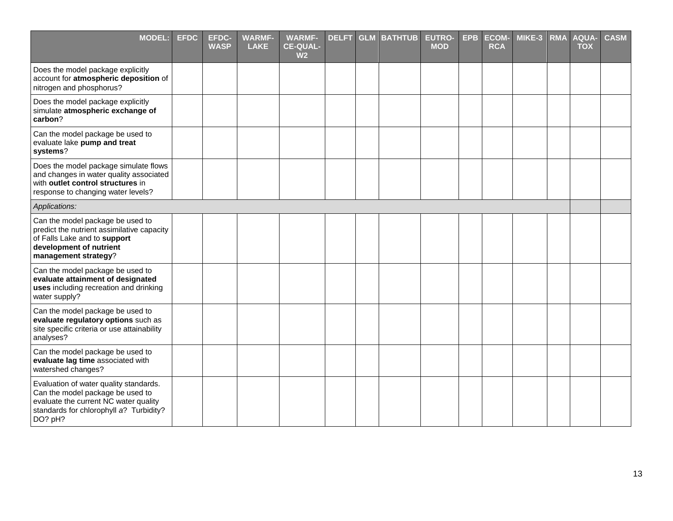| <b>MODEL:</b>                                                                                                                                                             | <b>EFDC</b> | <b>EFDC-</b><br><b>WASP</b> | <b>WARMF-</b><br><b>LAKE</b> | <b>WARMF-</b><br><b>CE-QUAL-</b><br>W <sub>2</sub> | <b>DELFT</b> | <b>GLM</b> | <b>BATHTUB</b> | <b>EUTRO-</b><br><b>MOD</b> | <b>EPB</b> | <b>ECOM-</b><br><b>RCA</b> | MIKE-3 | <b>RMA</b> | <b>AQUA-</b><br><b>TOX</b> | <b>CASM</b> |
|---------------------------------------------------------------------------------------------------------------------------------------------------------------------------|-------------|-----------------------------|------------------------------|----------------------------------------------------|--------------|------------|----------------|-----------------------------|------------|----------------------------|--------|------------|----------------------------|-------------|
| Does the model package explicitly<br>account for atmospheric deposition of<br>nitrogen and phosphorus?                                                                    |             |                             |                              |                                                    |              |            |                |                             |            |                            |        |            |                            |             |
| Does the model package explicitly<br>simulate atmospheric exchange of<br>carbon?                                                                                          |             |                             |                              |                                                    |              |            |                |                             |            |                            |        |            |                            |             |
| Can the model package be used to<br>evaluate lake pump and treat<br>systems?                                                                                              |             |                             |                              |                                                    |              |            |                |                             |            |                            |        |            |                            |             |
| Does the model package simulate flows<br>and changes in water quality associated<br>with outlet control structures in<br>response to changing water levels?               |             |                             |                              |                                                    |              |            |                |                             |            |                            |        |            |                            |             |
| Applications:                                                                                                                                                             |             |                             |                              |                                                    |              |            |                |                             |            |                            |        |            |                            |             |
| Can the model package be used to<br>predict the nutrient assimilative capacity<br>of Falls Lake and to support<br>development of nutrient<br>management strategy?         |             |                             |                              |                                                    |              |            |                |                             |            |                            |        |            |                            |             |
| Can the model package be used to<br>evaluate attainment of designated<br>uses including recreation and drinking<br>water supply?                                          |             |                             |                              |                                                    |              |            |                |                             |            |                            |        |            |                            |             |
| Can the model package be used to<br>evaluate regulatory options such as<br>site specific criteria or use attainability<br>analyses?                                       |             |                             |                              |                                                    |              |            |                |                             |            |                            |        |            |                            |             |
| Can the model package be used to<br>evaluate lag time associated with<br>watershed changes?                                                                               |             |                             |                              |                                                    |              |            |                |                             |            |                            |        |            |                            |             |
| Evaluation of water quality standards.<br>Can the model package be used to<br>evaluate the current NC water quality<br>standards for chlorophyll a? Turbidity?<br>DO? pH? |             |                             |                              |                                                    |              |            |                |                             |            |                            |        |            |                            |             |